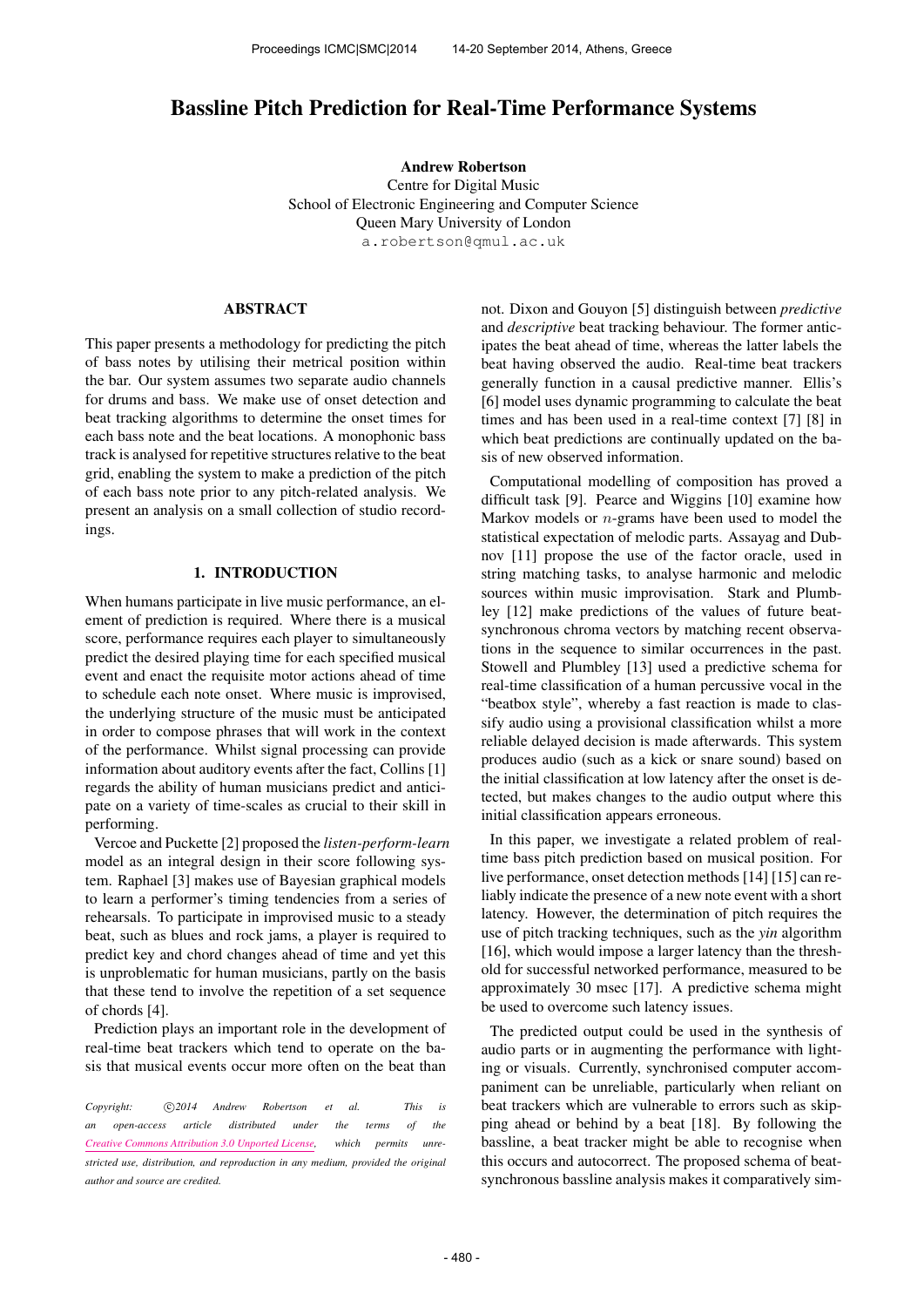# Bassline Pitch Prediction for Real-Time Performance Systems

Andrew Robertson Centre for Digital Music School of Electronic Engineering and Computer Science Queen Mary University of London [a.robertson@qmul.ac.uk](mailto:a.robertson@qmul.ac.uk)

## ABSTRACT

This paper presents a methodology for predicting the pitch of bass notes by utilising their metrical position within the bar. Our system assumes two separate audio channels for drums and bass. We make use of onset detection and beat tracking algorithms to determine the onset times for each bass note and the beat locations. A monophonic bass track is analysed for repetitive structures relative to the beat grid, enabling the system to make a prediction of the pitch of each bass note prior to any pitch-related analysis. We present an analysis on a small collection of studio recordings.

## 1. INTRODUCTION

When humans participate in live music performance, an element of prediction is required. Where there is a musical score, performance requires each player to simultaneously predict the desired playing time for each specified musical event and enact the requisite motor actions ahead of time to schedule each note onset. Where music is improvised, the underlying structure of the music must be anticipated in order to compose phrases that will work in the context of the performance. Whilst signal processing can provide information about auditory events after the fact, Collins [1] regards the ability of human musicians predict and anticipate on a variety of time-scales as crucial to their skill in performing.

Vercoe and Puckette [2] proposed the *listen-perform-learn* model as an integral design in their score following system. Raphael [3] makes use of Bayesian graphical models to learn a performer's timing tendencies from a series of rehearsals. To participate in improvised music to a steady beat, such as blues and rock jams, a player is required to predict key and chord changes ahead of time and yet this is unproblematic for human musicians, partly on the basis that these tend to involve the repetition of a set sequence of chords [4].

Prediction plays an important role in the development of real-time beat trackers which tend to operate on the basis that musical events occur more often on the beat than

Copyright:  $\bigcirc$ 2014 Andrew Robertson et al. This is *an open-access article distributed under the terms of the [Creative Commons Attribution 3.0 Unported License,](http://creativecommons.org/licenses/by/3.0/) which permits unrestricted use, distribution, and reproduction in any medium, provided the original author and source are credited.*

not. Dixon and Gouyon [5] distinguish between *predictive* and *descriptive* beat tracking behaviour. The former anticipates the beat ahead of time, whereas the latter labels the beat having observed the audio. Real-time beat trackers generally function in a causal predictive manner. Ellis's [6] model uses dynamic programming to calculate the beat times and has been used in a real-time context [7] [8] in which beat predictions are continually updated on the basis of new observed information.

Computational modelling of composition has proved a difficult task [9]. Pearce and Wiggins [10] examine how Markov models or  $n$ -grams have been used to model the statistical expectation of melodic parts. Assayag and Dubnov [11] propose the use of the factor oracle, used in string matching tasks, to analyse harmonic and melodic sources within music improvisation. Stark and Plumbley [12] make predictions of the values of future beatsynchronous chroma vectors by matching recent observations in the sequence to similar occurrences in the past. Stowell and Plumbley [13] used a predictive schema for real-time classification of a human percussive vocal in the "beatbox style", whereby a fast reaction is made to classify audio using a provisional classification whilst a more reliable delayed decision is made afterwards. This system produces audio (such as a kick or snare sound) based on the initial classification at low latency after the onset is detected, but makes changes to the audio output where this initial classification appears erroneous.

In this paper, we investigate a related problem of realtime bass pitch prediction based on musical position. For live performance, onset detection methods [14] [15] can reliably indicate the presence of a new note event with a short latency. However, the determination of pitch requires the use of pitch tracking techniques, such as the *yin* algorithm [16], which would impose a larger latency than the threshold for successful networked performance, measured to be approximately 30 msec [17]. A predictive schema might be used to overcome such latency issues.

The predicted output could be used in the synthesis of audio parts or in augmenting the performance with lighting or visuals. Currently, synchronised computer accompaniment can be unreliable, particularly when reliant on beat trackers which are vulnerable to errors such as skipping ahead or behind by a beat [18]. By following the bassline, a beat tracker might be able to recognise when this occurs and autocorrect. The proposed schema of beatsynchronous bassline analysis makes it comparatively sim-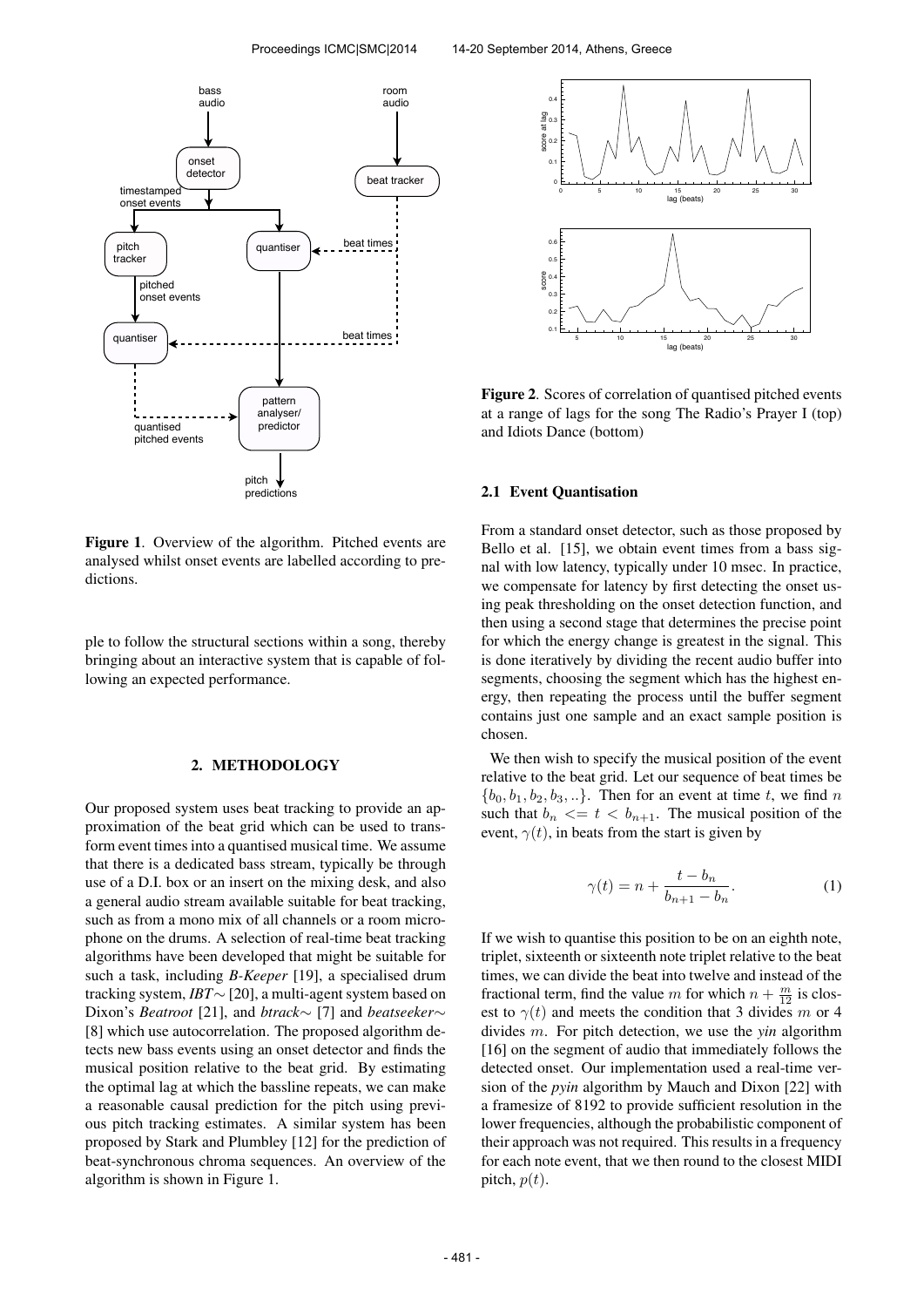

Figure 1. Overview of the algorithm. Pitched events are analysed whilst onset events are labelled according to predictions.

ple to follow the structural sections within a song, thereby bringing about an interactive system that is capable of following an expected performance.

### 2. METHODOLOGY

Our proposed system uses beat tracking to provide an approximation of the beat grid which can be used to transform event times into a quantised musical time. We assume that there is a dedicated bass stream, typically be through use of a D.I. box or an insert on the mixing desk, and also a general audio stream available suitable for beat tracking, such as from a mono mix of all channels or a room microphone on the drums. A selection of real-time beat tracking algorithms have been developed that might be suitable for such a task, including *B-Keeper* [19], a specialised drum tracking system, *IBT*∼ [20], a multi-agent system based on Dixon's *Beatroot* [21], and *btrack*∼ [7] and *beatseeker*∼ [8] which use autocorrelation. The proposed algorithm detects new bass events using an onset detector and finds the musical position relative to the beat grid. By estimating the optimal lag at which the bassline repeats, we can make a reasonable causal prediction for the pitch using previous pitch tracking estimates. A similar system has been proposed by Stark and Plumbley [12] for the prediction of beat-synchronous chroma sequences. An overview of the algorithm is shown in Figure 1.



Figure 2. Scores of correlation of quantised pitched events at a range of lags for the song The Radio's Prayer I (top) and Idiots Dance (bottom)

### 2.1 Event Quantisation

From a standard onset detector, such as those proposed by Bello et al. [15], we obtain event times from a bass signal with low latency, typically under 10 msec. In practice, we compensate for latency by first detecting the onset using peak thresholding on the onset detection function, and then using a second stage that determines the precise point for which the energy change is greatest in the signal. This is done iteratively by dividing the recent audio buffer into segments, choosing the segment which has the highest energy, then repeating the process until the buffer segment contains just one sample and an exact sample position is chosen.

We then wish to specify the musical position of the event relative to the beat grid. Let our sequence of beat times be  ${b_0, b_1, b_2, b_3, \ldots}$ . Then for an event at time t, we find n such that  $b_n \leq t \leq b_{n+1}$ . The musical position of the event,  $\gamma(t)$ , in beats from the start is given by

$$
\gamma(t) = n + \frac{t - b_n}{b_{n+1} - b_n}.\tag{1}
$$

If we wish to quantise this position to be on an eighth note, triplet, sixteenth or sixteenth note triplet relative to the beat times, we can divide the beat into twelve and instead of the fractional term, find the value m for which  $n + \frac{m}{12}$  is closest to  $\gamma(t)$  and meets the condition that 3 divides m or 4 divides m. For pitch detection, we use the *yin* algorithm [16] on the segment of audio that immediately follows the detected onset. Our implementation used a real-time version of the *pyin* algorithm by Mauch and Dixon [22] with a framesize of 8192 to provide sufficient resolution in the lower frequencies, although the probabilistic component of their approach was not required. This results in a frequency for each note event, that we then round to the closest MIDI pitch,  $p(t)$ .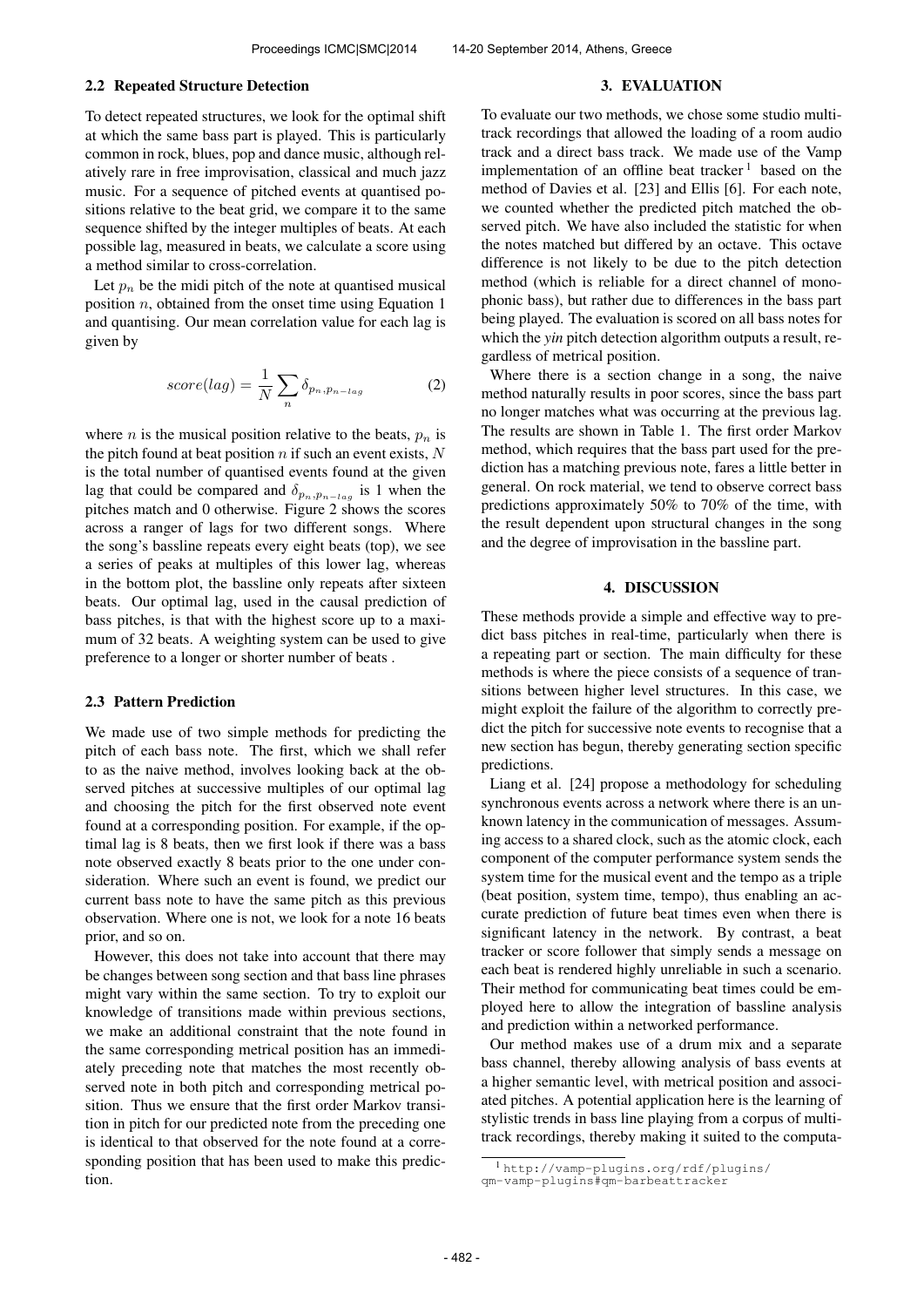#### 2.2 Repeated Structure Detection

To detect repeated structures, we look for the optimal shift at which the same bass part is played. This is particularly common in rock, blues, pop and dance music, although relatively rare in free improvisation, classical and much jazz music. For a sequence of pitched events at quantised positions relative to the beat grid, we compare it to the same sequence shifted by the integer multiples of beats. At each possible lag, measured in beats, we calculate a score using a method similar to cross-correlation.

Let  $p_n$  be the midi pitch of the note at quantised musical position  $n$ , obtained from the onset time using Equation 1 and quantising. Our mean correlation value for each lag is given by

$$
score(lag) = \frac{1}{N} \sum_{n} \delta_{p_n, p_{n-lag}} \tag{2}
$$

where *n* is the musical position relative to the beats,  $p_n$  is the pitch found at beat position  $n$  if such an event exists,  $N$ is the total number of quantised events found at the given lag that could be compared and  $\delta_{p_n,p_{n-log}}$  is 1 when the pitches match and 0 otherwise. Figure 2 shows the scores across a ranger of lags for two different songs. Where the song's bassline repeats every eight beats (top), we see a series of peaks at multiples of this lower lag, whereas in the bottom plot, the bassline only repeats after sixteen beats. Our optimal lag, used in the causal prediction of bass pitches, is that with the highest score up to a maximum of 32 beats. A weighting system can be used to give preference to a longer or shorter number of beats .

#### 2.3 Pattern Prediction

We made use of two simple methods for predicting the pitch of each bass note. The first, which we shall refer to as the naive method, involves looking back at the observed pitches at successive multiples of our optimal lag and choosing the pitch for the first observed note event found at a corresponding position. For example, if the optimal lag is 8 beats, then we first look if there was a bass note observed exactly 8 beats prior to the one under consideration. Where such an event is found, we predict our current bass note to have the same pitch as this previous observation. Where one is not, we look for a note 16 beats prior, and so on.

However, this does not take into account that there may be changes between song section and that bass line phrases might vary within the same section. To try to exploit our knowledge of transitions made within previous sections, we make an additional constraint that the note found in the same corresponding metrical position has an immediately preceding note that matches the most recently observed note in both pitch and corresponding metrical position. Thus we ensure that the first order Markov transition in pitch for our predicted note from the preceding one is identical to that observed for the note found at a corresponding position that has been used to make this prediction.

#### 3. EVALUATION

To evaluate our two methods, we chose some studio multitrack recordings that allowed the loading of a room audio track and a direct bass track. We made use of the Vamp implementation of an offline beat tracker<sup>1</sup> based on the method of Davies et al. [23] and Ellis [6]. For each note, we counted whether the predicted pitch matched the observed pitch. We have also included the statistic for when the notes matched but differed by an octave. This octave difference is not likely to be due to the pitch detection method (which is reliable for a direct channel of monophonic bass), but rather due to differences in the bass part being played. The evaluation is scored on all bass notes for which the *yin* pitch detection algorithm outputs a result, regardless of metrical position.

Where there is a section change in a song, the naive method naturally results in poor scores, since the bass part no longer matches what was occurring at the previous lag. The results are shown in Table 1. The first order Markov method, which requires that the bass part used for the prediction has a matching previous note, fares a little better in general. On rock material, we tend to observe correct bass predictions approximately 50% to 70% of the time, with the result dependent upon structural changes in the song and the degree of improvisation in the bassline part.

## 4. DISCUSSION

These methods provide a simple and effective way to predict bass pitches in real-time, particularly when there is a repeating part or section. The main difficulty for these methods is where the piece consists of a sequence of transitions between higher level structures. In this case, we might exploit the failure of the algorithm to correctly predict the pitch for successive note events to recognise that a new section has begun, thereby generating section specific predictions.

Liang et al. [24] propose a methodology for scheduling synchronous events across a network where there is an unknown latency in the communication of messages. Assuming access to a shared clock, such as the atomic clock, each component of the computer performance system sends the system time for the musical event and the tempo as a triple (beat position, system time, tempo), thus enabling an accurate prediction of future beat times even when there is significant latency in the network. By contrast, a beat tracker or score follower that simply sends a message on each beat is rendered highly unreliable in such a scenario. Their method for communicating beat times could be employed here to allow the integration of bassline analysis and prediction within a networked performance.

Our method makes use of a drum mix and a separate bass channel, thereby allowing analysis of bass events at a higher semantic level, with metrical position and associated pitches. A potential application here is the learning of stylistic trends in bass line playing from a corpus of multitrack recordings, thereby making it suited to the computa-

<sup>1</sup> [http://vamp-plugins.org/rdf/plugins/](http://vamp-plugins.org/rdf/plugins/qm-vamp-plugins#qm-barbeattracker ) [qm-vamp-plugins#qm-barbeattracker](http://vamp-plugins.org/rdf/plugins/qm-vamp-plugins#qm-barbeattracker )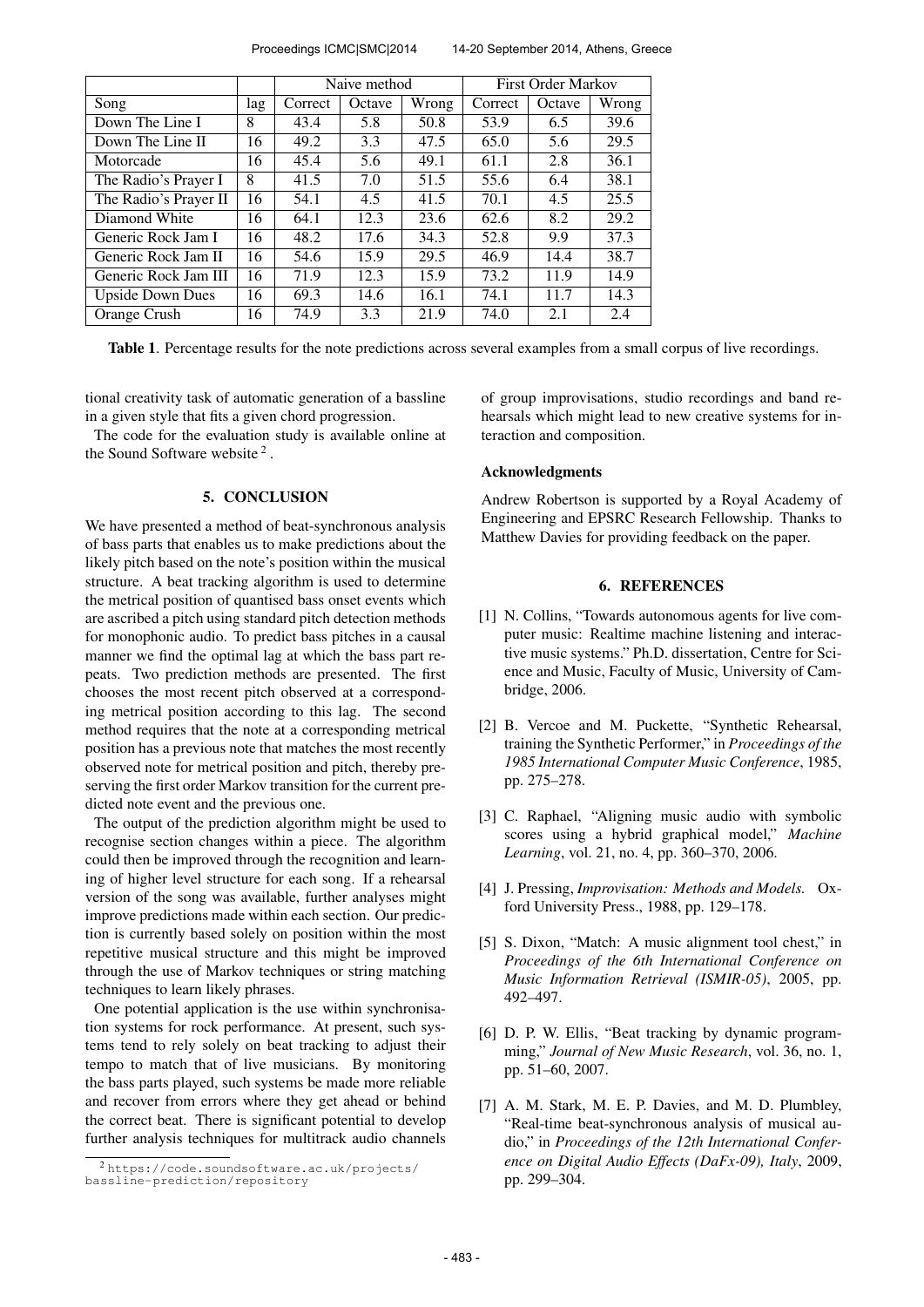Proceedings ICMC|SMC|2014 14-20 September 2014, Athens, Greece

|                         |     | Naive method |        |       | <b>First Order Markov</b> |        |       |
|-------------------------|-----|--------------|--------|-------|---------------------------|--------|-------|
| Song                    | lag | Correct      | Octave | Wrong | Correct                   | Octave | Wrong |
| Down The Line I         | 8   | 43.4         | 5.8    | 50.8  | 53.9                      | 6.5    | 39.6  |
| Down The Line II        | 16  | 49.2         | 3.3    | 47.5  | 65.0                      | 5.6    | 29.5  |
| Motorcade               | 16  | 45.4         | 5.6    | 49.1  | 61.1                      | 2.8    | 36.1  |
| The Radio's Prayer I    | 8   | 41.5         | 7.0    | 51.5  | 55.6                      | 6.4    | 38.1  |
| The Radio's Prayer II   | 16  | 54.1         | 4.5    | 41.5  | 70.1                      | 4.5    | 25.5  |
| Diamond White           | 16  | 64.1         | 12.3   | 23.6  | 62.6                      | 8.2    | 29.2  |
| Generic Rock Jam I      | 16  | 48.2         | 17.6   | 34.3  | 52.8                      | 9.9    | 37.3  |
| Generic Rock Jam II     | 16  | 54.6         | 15.9   | 29.5  | 46.9                      | 14.4   | 38.7  |
| Generic Rock Jam III    | 16  | 71.9         | 12.3   | 15.9  | 73.2                      | 11.9   | 14.9  |
| <b>Upside Down Dues</b> | 16  | 69.3         | 14.6   | 16.1  | 74.1                      | 11.7   | 14.3  |
| Orange Crush            | 16  | 74.9         | 3.3    | 21.9  | 74.0                      | 2.1    | 2.4   |

Table 1. Percentage results for the note predictions across several examples from a small corpus of live recordings.

tional creativity task of automatic generation of a bassline in a given style that fits a given chord progression.

The code for the evaluation study is available online at the Sound Software website  $2$ .

### 5. CONCLUSION

We have presented a method of beat-synchronous analysis of bass parts that enables us to make predictions about the likely pitch based on the note's position within the musical structure. A beat tracking algorithm is used to determine the metrical position of quantised bass onset events which are ascribed a pitch using standard pitch detection methods for monophonic audio. To predict bass pitches in a causal manner we find the optimal lag at which the bass part repeats. Two prediction methods are presented. The first chooses the most recent pitch observed at a corresponding metrical position according to this lag. The second method requires that the note at a corresponding metrical position has a previous note that matches the most recently observed note for metrical position and pitch, thereby preserving the first order Markov transition for the current predicted note event and the previous one.

The output of the prediction algorithm might be used to recognise section changes within a piece. The algorithm could then be improved through the recognition and learning of higher level structure for each song. If a rehearsal version of the song was available, further analyses might improve predictions made within each section. Our prediction is currently based solely on position within the most repetitive musical structure and this might be improved through the use of Markov techniques or string matching techniques to learn likely phrases.

One potential application is the use within synchronisation systems for rock performance. At present, such systems tend to rely solely on beat tracking to adjust their tempo to match that of live musicians. By monitoring the bass parts played, such systems be made more reliable and recover from errors where they get ahead or behind the correct beat. There is significant potential to develop further analysis techniques for multitrack audio channels of group improvisations, studio recordings and band rehearsals which might lead to new creative systems for interaction and composition.

## Acknowledgments

Andrew Robertson is supported by a Royal Academy of Engineering and EPSRC Research Fellowship. Thanks to Matthew Davies for providing feedback on the paper.

# 6. REFERENCES

- [1] N. Collins, "Towards autonomous agents for live computer music: Realtime machine listening and interactive music systems." Ph.D. dissertation, Centre for Science and Music, Faculty of Music, University of Cambridge, 2006.
- [2] B. Vercoe and M. Puckette, "Synthetic Rehearsal, training the Synthetic Performer," in *Proceedings of the 1985 International Computer Music Conference*, 1985, pp. 275–278.
- [3] C. Raphael, "Aligning music audio with symbolic scores using a hybrid graphical model," *Machine Learning*, vol. 21, no. 4, pp. 360–370, 2006.
- [4] J. Pressing, *Improvisation: Methods and Models.* Oxford University Press., 1988, pp. 129–178.
- [5] S. Dixon, "Match: A music alignment tool chest," in *Proceedings of the 6th International Conference on Music Information Retrieval (ISMIR-05)*, 2005, pp. 492–497.
- [6] D. P. W. Ellis, "Beat tracking by dynamic programming," *Journal of New Music Research*, vol. 36, no. 1, pp. 51–60, 2007.
- [7] A. M. Stark, M. E. P. Davies, and M. D. Plumbley, "Real-time beat-synchronous analysis of musical audio," in *Proceedings of the 12th International Conference on Digital Audio Effects (DaFx-09), Italy*, 2009, pp. 299–304.

<sup>2</sup> [https://code.soundsoftware.ac.uk/projects/](https://code.soundsoftware.ac.uk/projects/bassline-prediction/repository) [bassline-prediction/repository](https://code.soundsoftware.ac.uk/projects/bassline-prediction/repository)